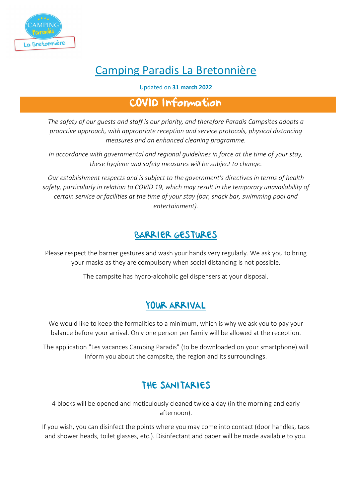

# Camping Paradis La Bretonnière

#### Updated on **31 march 2022**

### COVID Information

*The safety of our guests and staff is our priority, and therefore Paradis Campsites adopts a proactive approach, with appropriate reception and service protocols, physical distancing measures and an enhanced cleaning programme.*

*In accordance with governmental and regional guidelines in force at the time of your stay, these hygiene and safety measures will be subject to change.*

*Our establishment respects and is subject to the government's directives in terms of health safety, particularly in relation to COVID 19, which may result in the temporary unavailability of certain service or facilities at the time of your stay (bar, snack bar, swimming pool and entertainment).*

#### BARRIER GESTURES

Please respect the barrier gestures and wash your hands very regularly. We ask you to bring your masks as they are compulsory when social distancing is not possible.

The campsite has hydro-alcoholic gel dispensers at your disposal.

#### YOUR ARRIVAL

We would like to keep the formalities to a minimum, which is why we ask you to pay your balance before your arrival. Only one person per family will be allowed at the reception.

The application "Les vacances Camping Paradis" (to be downloaded on your smartphone) will inform you about the campsite, the region and its surroundings.

## THE SANITARIES

4 blocks will be opened and meticulously cleaned twice a day (in the morning and early afternoon).

If you wish, you can disinfect the points where you may come into contact (door handles, taps and shower heads, toilet glasses, etc.). Disinfectant and paper will be made available to you.